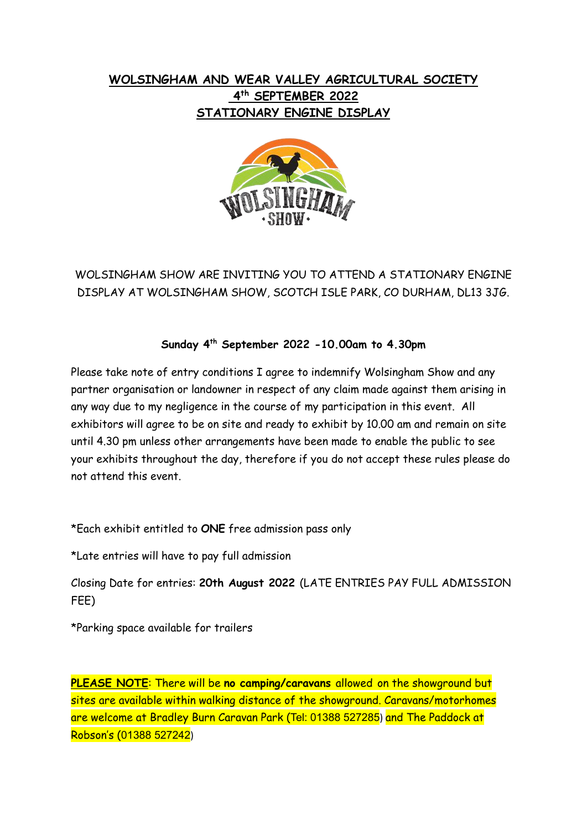## **WOLSINGHAM AND WEAR VALLEY AGRICULTURAL SOCIETY 4 th SEPTEMBER 2022 STATIONARY ENGINE DISPLAY**



## WOLSINGHAM SHOW ARE INVITING YOU TO ATTEND A STATIONARY ENGINE DISPLAY AT WOLSINGHAM SHOW, SCOTCH ISLE PARK, CO DURHAM, DL13 3JG.

## **Sunday 4th September 2022 -10.00am to 4.30pm**

Please take note of entry conditions I agree to indemnify Wolsingham Show and any partner organisation or landowner in respect of any claim made against them arising in any way due to my negligence in the course of my participation in this event. All exhibitors will agree to be on site and ready to exhibit by 10.00 am and remain on site until 4.30 pm unless other arrangements have been made to enable the public to see your exhibits throughout the day, therefore if you do not accept these rules please do not attend this event.

\*Each exhibit entitled to **ONE** free admission pass only

\*Late entries will have to pay full admission

Closing Date for entries: **20th August 2022** (LATE ENTRIES PAY FULL ADMISSION FEE)

\*Parking space available for trailers

**PLEASE NOTE**: There will be **no camping/caravans** allowed on the showground but sites are available within walking distance of the showground. Caravans/motorhomes are welcome at Bradley Burn Caravan Park (Tel: 01388 527285) and The Paddock at Robson's (01388 527242)